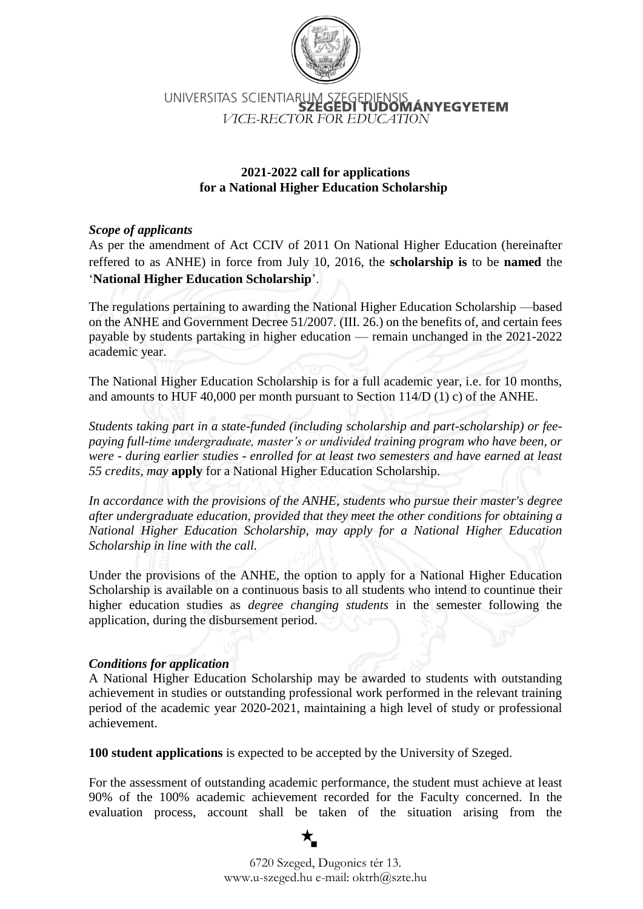

# UNIVERSITAS SCIENTIARUM SZEC AS SCIENTIARUM 22ESEDIENSIS<br>**SZEGEDI TUDOMÁNYEGYETEM**<br>*VICE-RECTOR FOR EDUCATION*

## **2021-2022 call for applications for a National Higher Education Scholarship**

## *Scope of applicants*

As per the amendment of Act CCIV of 2011 On National Higher Education (hereinafter reffered to as ANHE) in force from July 10, 2016, the **scholarship is** to be **named** the '**National Higher Education Scholarship**'.

The regulations pertaining to awarding the National Higher Education Scholarship —based on the ANHE and Government Decree 51/2007. (III. 26.) on the benefits of, and certain fees payable by students partaking in higher education — remain unchanged in the 2021-2022 academic year.

The National Higher Education Scholarship is for a full academic year, i.e. for 10 months, and amounts to HUF 40,000 per month pursuant to Section 114/D (1) c) of the ANHE.

*Students taking part in a state-funded (including scholarship and part-scholarship) or feepaying full-time undergraduate, master's or undivided training program who have been, or were - during earlier studies - enrolled for at least two semesters and have earned at least 55 credits, may* **apply** for a National Higher Education Scholarship.

*In accordance with the provisions of the ANHE, students who pursue their master's degree after undergraduate education, provided that they meet the other conditions for obtaining a National Higher Education Scholarship, may apply for a National Higher Education Scholarship in line with the call.*

Under the provisions of the ANHE, the option to apply for a National Higher Education Scholarship is available on a continuous basis to all students who intend to countinue their higher education studies as *degree changing students* in the semester following the application, during the disbursement period.

#### *Conditions for application*

A National Higher Education Scholarship may be awarded to students with outstanding achievement in studies or outstanding professional work performed in the relevant training period of the academic year 2020-2021, maintaining a high level of study or professional achievement.

**100 student applications** is expected to be accepted by the University of Szeged.

For the assessment of outstanding academic performance, the student must achieve at least 90% of the 100% academic achievement recorded for the Faculty concerned. In the evaluation process, account shall be taken of the situation arising from the

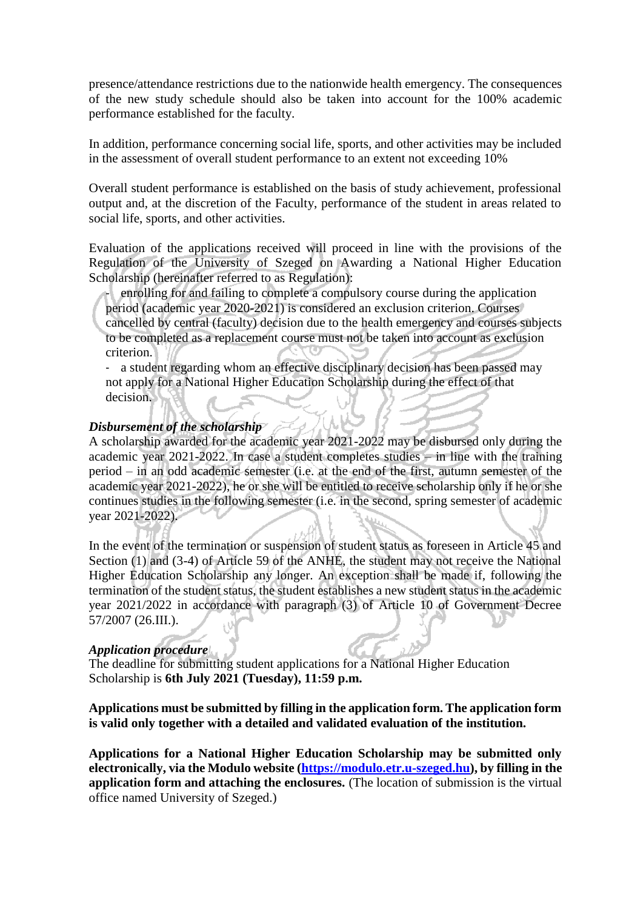presence/attendance restrictions due to the nationwide health emergency. The consequences of the new study schedule should also be taken into account for the 100% academic performance established for the faculty.

In addition, performance concerning social life, sports, and other activities may be included in the assessment of overall student performance to an extent not exceeding 10%

Overall student performance is established on the basis of study achievement, professional output and, at the discretion of the Faculty, performance of the student in areas related to social life, sports, and other activities.

Evaluation of the applications received will proceed in line with the provisions of the Regulation of the University of Szeged on Awarding a National Higher Education Scholarship (hereinafter referred to as Regulation):

enrolling for and failing to complete a compulsory course during the application period (academic year 2020-2021) is considered an exclusion criterion. Courses cancelled by central (faculty) decision due to the health emergency and courses subjects to be completed as a replacement course must not be taken into account as exclusion criterion.

- a student regarding whom an effective disciplinary decision has been passed may not apply for a National Higher Education Scholarship during the effect of that decision.

#### *Disbursement of the scholarship*

A scholarship awarded for the academic year 2021-2022 may be disbursed only during the academic year 2021-2022. In case a student completes studies – in line with the training period – in an odd academic semester (i.e. at the end of the first, autumn semester of the academic year 2021-2022), he or she will be entitled to receive scholarship only if he or she continues studies in the following semester (i.e. in the second, spring semester of academic year 2021-2022).

In the event of the termination or suspension of student status as foreseen in Article 45 and Section (1) and (3-4) of Article 59 of the ANHE, the student may not receive the National Higher Education Scholarship any longer. An exception shall be made if, following the termination of the student status, the student establishes a new student status in the academic year 2021/2022 in accordance with paragraph (3) of Article 10 of Government Decree 57/2007 (26.III.).

#### *Application procedure*

The deadline for submitting student applications for a National Higher Education Scholarship is **6th July 2021 (Tuesday), 11:59 p.m.**

#### **Applications must be submitted by filling in the application form. The application form is valid only together with a detailed and validated evaluation of the institution.**

**Applications for a National Higher Education Scholarship may be submitted only electronically, via the Modulo website [\(https://modulo.etr.u-szeged.hu\)](https://modulo.etr.u-szeged.hu/), by filling in the application form and attaching the enclosures.** (The location of submission is the virtual office named University of Szeged.)